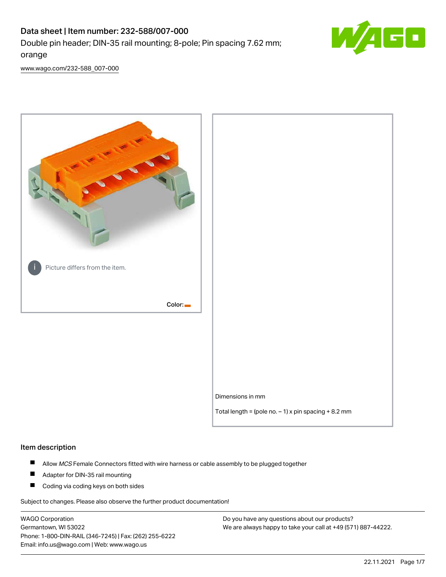# Data sheet | Item number: 232-588/007-000 Double pin header; DIN-35 rail mounting; 8-pole; Pin spacing 7.62 mm; orange



[www.wago.com/232-588\\_007-000](http://www.wago.com/232-588_007-000)



#### Item description

- $\blacksquare$ Allow MCS Female Connectors fitted with wire harness or cable assembly to be plugged together
- $\blacksquare$ Adapter for DIN-35 rail mounting
- $\blacksquare$ Coding via coding keys on both sides

Subject to changes. Please also observe the further product documentation!

WAGO Corporation Germantown, WI 53022 Phone: 1-800-DIN-RAIL (346-7245) | Fax: (262) 255-6222 Email: info.us@wago.com | Web: www.wago.us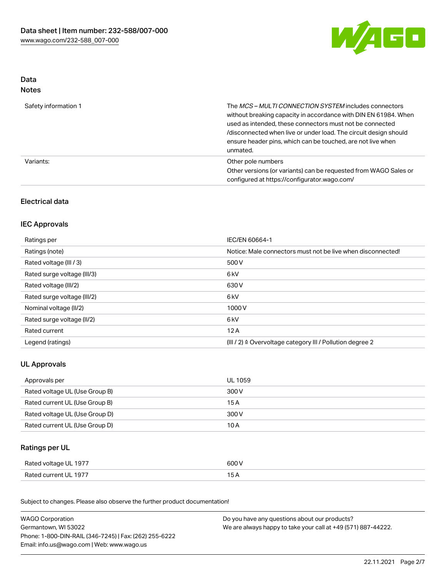

### Data Notes

| Safety information 1 | The <i>MCS – MULTI CONNECTION SYSTEM</i> includes connectors<br>without breaking capacity in accordance with DIN EN 61984. When<br>used as intended, these connectors must not be connected<br>/disconnected when live or under load. The circuit design should<br>ensure header pins, which can be touched, are not live when<br>unmated. |
|----------------------|--------------------------------------------------------------------------------------------------------------------------------------------------------------------------------------------------------------------------------------------------------------------------------------------------------------------------------------------|
| Variants:            | Other pole numbers<br>Other versions (or variants) can be requested from WAGO Sales or<br>configured at https://configurator.wago.com/                                                                                                                                                                                                     |

## Electrical data

## IEC Approvals

| Ratings per                 | IEC/EN 60664-1                                                        |
|-----------------------------|-----------------------------------------------------------------------|
| Ratings (note)              | Notice: Male connectors must not be live when disconnected!           |
| Rated voltage (III / 3)     | 500 V                                                                 |
| Rated surge voltage (III/3) | 6 <sub>kV</sub>                                                       |
| Rated voltage (III/2)       | 630 V                                                                 |
| Rated surge voltage (III/2) | 6 <sub>kV</sub>                                                       |
| Nominal voltage (II/2)      | 1000V                                                                 |
| Rated surge voltage (II/2)  | 6 <sub>kV</sub>                                                       |
| Rated current               | 12A                                                                   |
| Legend (ratings)            | $(III / 2)$ $\triangle$ Overvoltage category III / Pollution degree 2 |

## UL Approvals

| Approvals per                  | UL 1059 |
|--------------------------------|---------|
| Rated voltage UL (Use Group B) | 300 V   |
| Rated current UL (Use Group B) | 15 A    |
| Rated voltage UL (Use Group D) | 300 V   |
| Rated current UL (Use Group D) | 10 A    |

## Ratings per UL

| Rated voltage UL 1977 | 600 V |
|-----------------------|-------|
| Rated current UL 1977 |       |

Subject to changes. Please also observe the further product documentation!

| <b>WAGO Corporation</b>                                | Do you have any questions about our products?                 |  |
|--------------------------------------------------------|---------------------------------------------------------------|--|
| Germantown, WI 53022                                   | We are always happy to take your call at +49 (571) 887-44222. |  |
| Phone: 1-800-DIN-RAIL (346-7245)   Fax: (262) 255-6222 |                                                               |  |
| Email: info.us@wago.com   Web: www.wago.us             |                                                               |  |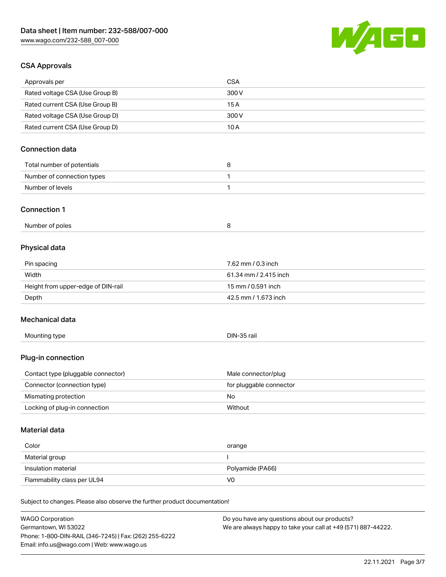

## CSA Approvals

| Approvals per                                                              | <b>CSA</b>                                     |
|----------------------------------------------------------------------------|------------------------------------------------|
| Rated voltage CSA (Use Group B)                                            | 300V                                           |
| Rated current CSA (Use Group B)                                            | 15A                                            |
| Rated voltage CSA (Use Group D)                                            | 300V                                           |
| Rated current CSA (Use Group D)                                            | 10A                                            |
|                                                                            |                                                |
| <b>Connection data</b>                                                     |                                                |
| Total number of potentials                                                 | 8                                              |
| Number of connection types                                                 | 1                                              |
| Number of levels                                                           | $\mathbf{1}$                                   |
|                                                                            |                                                |
| <b>Connection 1</b>                                                        |                                                |
| Number of poles                                                            | 8                                              |
|                                                                            |                                                |
| Physical data                                                              |                                                |
| Pin spacing                                                                | 7.62 mm / 0.3 inch                             |
| Width                                                                      | 61.34 mm / 2.415 inch                          |
| Height from upper-edge of DIN-rail                                         | 15 mm / 0.591 inch                             |
| Depth                                                                      | 42.5 mm / 1.673 inch                           |
|                                                                            |                                                |
| Mechanical data                                                            |                                                |
| Mounting type                                                              | DIN-35 rail                                    |
|                                                                            |                                                |
| Plug-in connection                                                         |                                                |
|                                                                            |                                                |
| Contact type (pluggable connector)<br>Connector (connection type)          | Male connector/plug<br>for pluggable connector |
| Mismating protection                                                       | No                                             |
| Locking of plug-in connection                                              | Without                                        |
|                                                                            |                                                |
| <b>Material data</b>                                                       |                                                |
|                                                                            |                                                |
| Color                                                                      | orange                                         |
| Material group                                                             |                                                |
| Insulation material                                                        | Polyamide (PA66)                               |
| Flammability class per UL94                                                | V <sub>0</sub>                                 |
| Subject to changes. Please also observe the further product documentation! |                                                |
|                                                                            |                                                |
| <b>WAGO Corporation</b>                                                    | Do you have any questions about our products?  |

WAGO Corporation Germantown, WI 53022 Phone: 1-800-DIN-RAIL (346-7245) | Fax: (262) 255-6222 Email: info.us@wago.com | Web: www.wago.us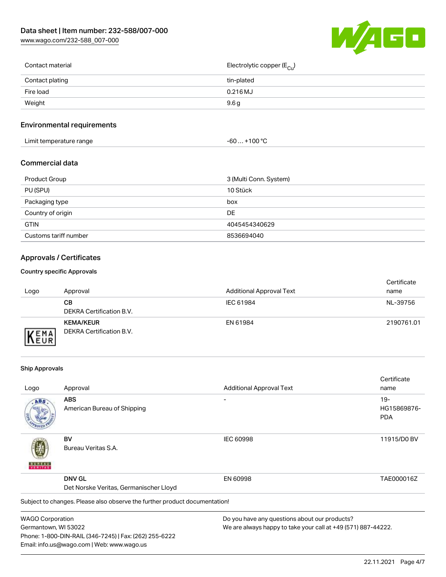[www.wago.com/232-588\\_007-000](http://www.wago.com/232-588_007-000)



| Contact material | Electrolytic copper (E <sub>Cu</sub> ) |
|------------------|----------------------------------------|
| Contact plating  | tin-plated                             |
| Fire load        | 0.216 MJ                               |
| Weight           | 9.6g                                   |
|                  |                                        |

## Environmental requirements

| Limit temperature range | ⊥+100 °ົ<br>-60 |
|-------------------------|-----------------|
|-------------------------|-----------------|

#### Commercial data

| Product Group         | 3 (Multi Conn. System) |
|-----------------------|------------------------|
| PU (SPU)              | 10 Stück               |
| Packaging type        | box                    |
| Country of origin     | DE                     |
| <b>GTIN</b>           | 4045454340629          |
| Customs tariff number | 8536694040             |

## Approvals / Certificates

#### Country specific Approvals

| Logo                        | Approval                                     | <b>Additional Approval Text</b> | Certificate<br>name |
|-----------------------------|----------------------------------------------|---------------------------------|---------------------|
|                             | CВ<br>DEKRA Certification B.V.               | IEC 61984                       | NL-39756            |
| <b>VEMA</b><br><b>INEUR</b> | <b>KEMA/KEUR</b><br>DEKRA Certification B.V. | EN 61984                        | 2190761.01          |

#### Ship Approvals

Email: info.us@wago.com | Web: www.wago.us

|                         |                                                                            |                                                               | Certificate |
|-------------------------|----------------------------------------------------------------------------|---------------------------------------------------------------|-------------|
| Logo                    | Approval                                                                   | <b>Additional Approval Text</b>                               | name        |
| ABS                     | <b>ABS</b>                                                                 |                                                               | $19-$       |
|                         | American Bureau of Shipping                                                |                                                               | HG15869876- |
|                         |                                                                            |                                                               | <b>PDA</b>  |
|                         | BV                                                                         | <b>IEC 60998</b>                                              | 11915/D0 BV |
| VERITAS                 | Bureau Veritas S.A.                                                        |                                                               |             |
|                         | <b>DNV GL</b>                                                              | EN 60998                                                      | TAE000016Z  |
|                         | Det Norske Veritas, Germanischer Lloyd                                     |                                                               |             |
|                         | Subject to changes. Please also observe the further product documentation! |                                                               |             |
| <b>WAGO Corporation</b> |                                                                            | Do you have any questions about our products?                 |             |
| Germantown, WI 53022    |                                                                            | We are always happy to take your call at +49 (571) 887-44222. |             |
|                         | Phone: 1-800-DIN-RAIL (346-7245)   Fax: (262) 255-6222                     |                                                               |             |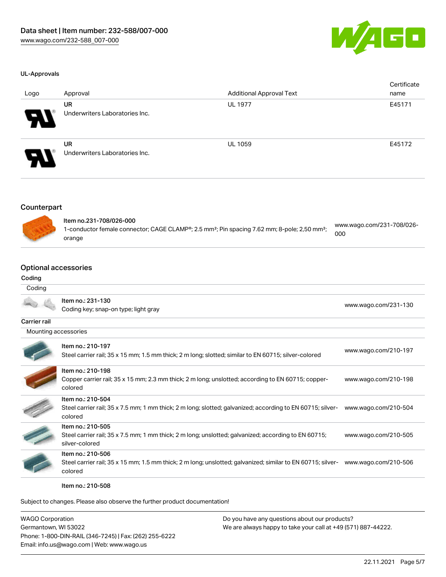

#### UL-Approvals

| Logo                   | Approval                                    | <b>Additional Approval Text</b> | Certificate<br>name |
|------------------------|---------------------------------------------|---------------------------------|---------------------|
| $\boldsymbol{\varphi}$ | UR<br>Underwriters Laboratories Inc.        | <b>UL 1977</b>                  | E45171              |
| 8                      | <b>UR</b><br>Underwriters Laboratories Inc. | <b>UL 1059</b>                  | E45172              |

### Counterpart



| ltem no.231-708/026-000                                                                                              |                                  |
|----------------------------------------------------------------------------------------------------------------------|----------------------------------|
| 1-conductor female connector; CAGE CLAMP®; 2.5 mm <sup>2</sup> ; Pin spacing 7.62 mm; 8-pole; 2,50 mm <sup>2</sup> ; | www.wago.com/231-708/026-<br>000 |
| orange                                                                                                               |                                  |

## Optional accessories

## Coding

| Coding               |                                                                                                                                             |                      |
|----------------------|---------------------------------------------------------------------------------------------------------------------------------------------|----------------------|
|                      | Item no.: 231-130<br>Coding key; snap-on type; light gray                                                                                   | www.wago.com/231-130 |
| Carrier rail         |                                                                                                                                             |                      |
| Mounting accessories |                                                                                                                                             |                      |
|                      | Item no.: 210-197<br>Steel carrier rail; 35 x 15 mm; 1.5 mm thick; 2 m long; slotted; similar to EN 60715; silver-colored                   | www.wago.com/210-197 |
|                      | Item no.: 210-198<br>Copper carrier rail; 35 x 15 mm; 2.3 mm thick; 2 m long; unslotted; according to EN 60715; copper-<br>colored          | www.wago.com/210-198 |
|                      | Item no.: 210-504<br>Steel carrier rail; 35 x 7.5 mm; 1 mm thick; 2 m long; slotted; galvanized; according to EN 60715; silver-<br>colored  | www.wago.com/210-504 |
|                      | Item no.: 210-505<br>Steel carrier rail; 35 x 7.5 mm; 1 mm thick; 2 m long; unslotted; galvanized; according to EN 60715;<br>silver-colored | www.wago.com/210-505 |
|                      | Item no.: 210-506<br>Steel carrier rail; 35 x 15 mm; 1.5 mm thick; 2 m long; unslotted; galvanized; similar to EN 60715; silver-<br>colored | www.wago.com/210-506 |

Item no.: 210-508

Subject to changes. Please also observe the further product documentation!

| <b>WAGO Corporation</b>                                | Do you have any questions about our products?                 |
|--------------------------------------------------------|---------------------------------------------------------------|
| Germantown, WI 53022                                   | We are always happy to take your call at +49 (571) 887-44222. |
| Phone: 1-800-DIN-RAIL (346-7245)   Fax: (262) 255-6222 |                                                               |
| Email: info.us@wago.com   Web: www.wago.us             |                                                               |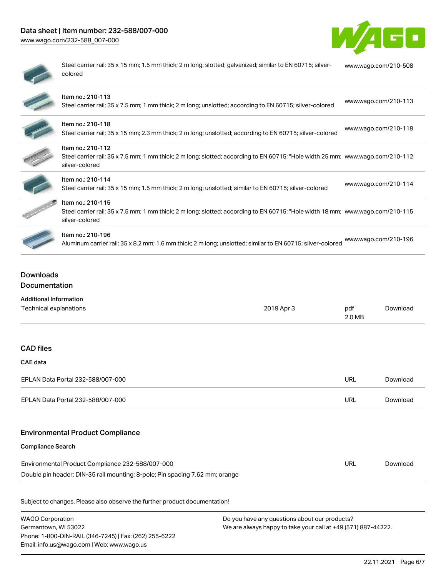## Data sheet | Item number: 232-588/007-000

[www.wago.com/232-588\\_007-000](http://www.wago.com/232-588_007-000)



| ۱ |
|---|
|   |
|   |

Steel carrier rail; 35 x 15 mm; 1.5 mm thick; 2 m long; slotted; galvanized; similar to EN 60715; silvercolored [www.wago.com/210-508](http://www.wago.com/210-508)

| Item no.: 210-113<br>Steel carrier rail; 35 x 7.5 mm; 1 mm thick; 2 m long; unslotted; according to EN 60715; silver-colored                                          | www.wago.com/210-113 |
|-----------------------------------------------------------------------------------------------------------------------------------------------------------------------|----------------------|
| Item no.: 210-118<br>Steel carrier rail; 35 x 15 mm; 2.3 mm thick; 2 m long; unslotted; according to EN 60715; silver-colored                                         | www.wago.com/210-118 |
| Item no.: 210-112<br>Steel carrier rail; 35 x 7.5 mm; 1 mm thick; 2 m long; slotted; according to EN 60715; "Hole width 25 mm; www.wago.com/210-112<br>silver-colored |                      |
| Item no.: 210-114<br>Steel carrier rail; 35 x 15 mm; 1.5 mm thick; 2 m long; unslotted; similar to EN 60715; silver-colored                                           | www.wago.com/210-114 |
| Item no.: 210-115<br>Steel carrier rail; 35 x 7.5 mm; 1 mm thick; 2 m long; slotted; according to EN 60715; "Hole width 18 mm; www.wago.com/210-115<br>silver-colored |                      |
| Item no.: 210-196<br>Aluminum carrier rail; 35 x 8.2 mm; 1.6 mm thick; 2 m long; unslotted; similar to EN 60715; silver-colored                                       | www.wago.com/210-196 |

## Downloads Documentation

| <b>Additional Information</b>                                                |            |               |          |
|------------------------------------------------------------------------------|------------|---------------|----------|
| Technical explanations                                                       | 2019 Apr 3 | pdf<br>2.0 MB | Download |
|                                                                              |            |               |          |
| <b>CAD files</b>                                                             |            |               |          |
| <b>CAE</b> data                                                              |            |               |          |
| EPLAN Data Portal 232-588/007-000                                            |            | <b>URL</b>    | Download |
| EPLAN Data Portal 232-588/007-000                                            |            | <b>URL</b>    | Download |
|                                                                              |            |               |          |
| <b>Environmental Product Compliance</b>                                      |            |               |          |
| <b>Compliance Search</b>                                                     |            |               |          |
| Environmental Product Compliance 232-588/007-000                             |            | <b>URL</b>    | Download |
| Double pin header; DIN-35 rail mounting; 8-pole; Pin spacing 7.62 mm; orange |            |               |          |
| Subject to changes. Please also observe the further product documentation!   |            |               |          |

| <b>WAGO Corporation</b>                                |
|--------------------------------------------------------|
| Germantown, WI 53022                                   |
| Phone: 1-800-DIN-RAIL (346-7245)   Fax: (262) 255-6222 |
| Email: info.us@wago.com   Web: www.wago.us             |